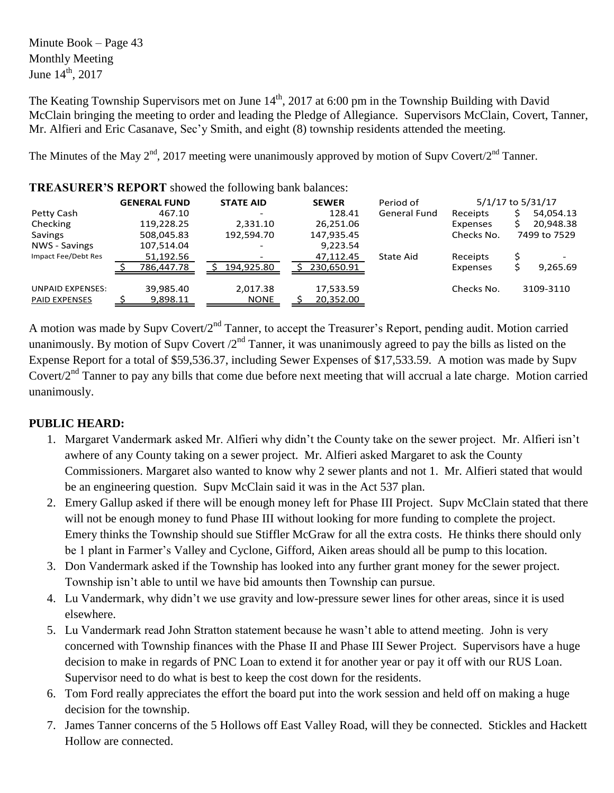Minute Book – Page 43 Monthly Meeting June  $14^{\text{th}}$ , 2017

The Keating Township Supervisors met on June  $14<sup>th</sup>$ , 2017 at 6:00 pm in the Township Building with David McClain bringing the meeting to order and leading the Pledge of Allegiance. Supervisors McClain, Covert, Tanner, Mr. Alfieri and Eric Casanave, Sec'y Smith, and eight (8) township residents attended the meeting.

The Minutes of the May  $2<sup>nd</sup>$ , 2017 meeting were unanimously approved by motion of Supv Covert/ $2<sup>nd</sup>$  Tanner.

| <b>TIME TO CIVE AND ONT SHOWED THE FOLLOWING DRIVE DURINGS.</b> |                     |                  |              |                     |                   |              |
|-----------------------------------------------------------------|---------------------|------------------|--------------|---------------------|-------------------|--------------|
|                                                                 | <b>GENERAL FUND</b> | <b>STATE AID</b> | <b>SEWER</b> | Period of           | 5/1/17 to 5/31/17 |              |
| Petty Cash                                                      | 467.10              |                  | 128.41       | <b>General Fund</b> | Receipts          | 54,054.13    |
| Checking                                                        | 119,228.25          | 2,331.10         | 26,251.06    |                     | Expenses          | 20,948.38    |
| Savings                                                         | 508,045.83          | 192,594.70       | 147,935.45   |                     | Checks No.        | 7499 to 7529 |
| NWS - Savings                                                   | 107,514.04          |                  | 9,223.54     |                     |                   |              |
| Impact Fee/Debt Res                                             | 51,192.56           |                  | 47,112.45    | State Aid           | Receipts          |              |
|                                                                 | 786,447.78          | 194.925.80       | 230,650.91   |                     | Expenses          | 9,265.69     |
|                                                                 |                     |                  |              |                     |                   |              |
| <b>UNPAID EXPENSES:</b>                                         | 39,985.40           | 2,017.38         | 17,533.59    |                     | Checks No.        | 3109-3110    |
| <b>PAID EXPENSES</b>                                            | 9,898.11            | <b>NONE</b>      | 20,352.00    |                     |                   |              |
|                                                                 |                     |                  |              |                     |                   |              |

**TREASURER'S REPORT** showed the following bank balances:

A motion was made by Supv Covert/2nd Tanner, to accept the Treasurer's Report, pending audit. Motion carried unanimously. By motion of Supy Covert  $2<sup>nd</sup>$  Tanner, it was unanimously agreed to pay the bills as listed on the Expense Report for a total of \$59,536.37, including Sewer Expenses of \$17,533.59. A motion was made by Supv Covert/2<sup>nd</sup> Tanner to pay any bills that come due before next meeting that will accrual a late charge. Motion carried unanimously.

## **PUBLIC HEARD:**

- 1. Margaret Vandermark asked Mr. Alfieri why didn't the County take on the sewer project. Mr. Alfieri isn't awhere of any County taking on a sewer project. Mr. Alfieri asked Margaret to ask the County Commissioners. Margaret also wanted to know why 2 sewer plants and not 1. Mr. Alfieri stated that would be an engineering question. Supv McClain said it was in the Act 537 plan.
- 2. Emery Gallup asked if there will be enough money left for Phase III Project. Supv McClain stated that there will not be enough money to fund Phase III without looking for more funding to complete the project. Emery thinks the Township should sue Stiffler McGraw for all the extra costs. He thinks there should only be 1 plant in Farmer's Valley and Cyclone, Gifford, Aiken areas should all be pump to this location.
- 3. Don Vandermark asked if the Township has looked into any further grant money for the sewer project. Township isn't able to until we have bid amounts then Township can pursue.
- 4. Lu Vandermark, why didn't we use gravity and low-pressure sewer lines for other areas, since it is used elsewhere.
- 5. Lu Vandermark read John Stratton statement because he wasn't able to attend meeting. John is very concerned with Township finances with the Phase II and Phase III Sewer Project. Supervisors have a huge decision to make in regards of PNC Loan to extend it for another year or pay it off with our RUS Loan. Supervisor need to do what is best to keep the cost down for the residents.
- 6. Tom Ford really appreciates the effort the board put into the work session and held off on making a huge decision for the township.
- 7. James Tanner concerns of the 5 Hollows off East Valley Road, will they be connected. Stickles and Hackett Hollow are connected.